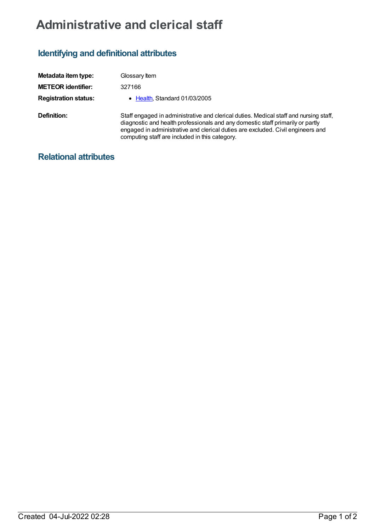## **Administrative and clerical staff**

## **Identifying and definitional attributes**

| Metadata item type:         | Glossary Item                                                                                                                                                                                                                                                                                                |
|-----------------------------|--------------------------------------------------------------------------------------------------------------------------------------------------------------------------------------------------------------------------------------------------------------------------------------------------------------|
| <b>METEOR identifier:</b>   | 327166                                                                                                                                                                                                                                                                                                       |
| <b>Registration status:</b> | • Health, Standard 01/03/2005                                                                                                                                                                                                                                                                                |
| Definition:                 | Staff engaged in administrative and clerical duties. Medical staff and nursing staff,<br>diagnostic and health professionals and any domestic staff primarily or partly<br>engaged in administrative and clerical duties are excluded. Civil engineers and<br>computing staff are included in this category. |

## **Relational attributes**